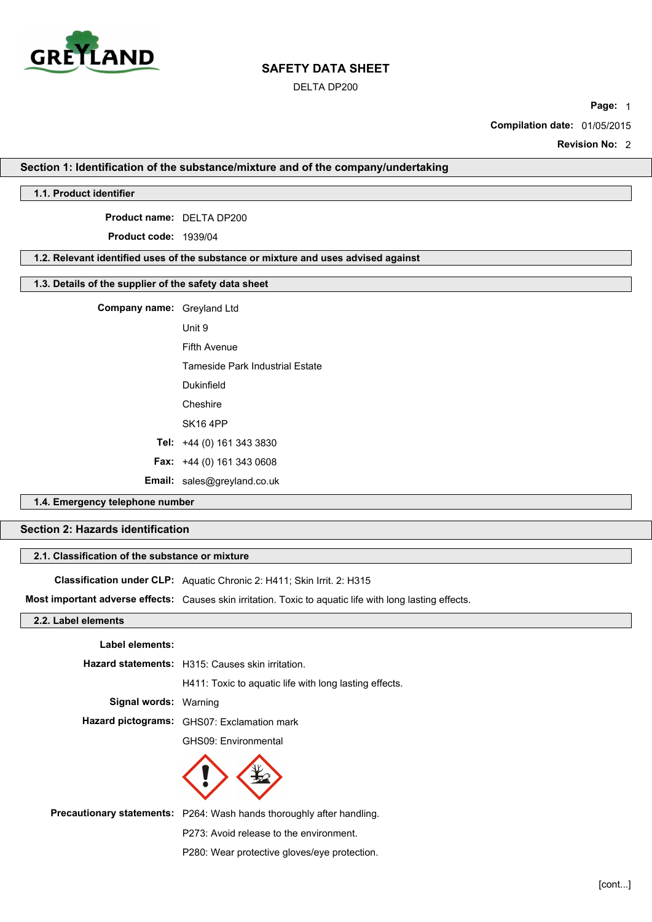

DELTA DP200

**Page:** 1

**Compilation date:** 01/05/2015

**Revision No:** 2

# **Section 1: Identification of the substance/mixture and of the company/undertaking**

#### **1.1. Product identifier**

**Product name:** DELTA DP200

**Product code:** 1939/04

# **1.2. Relevant identified uses of the substance or mixture and uses advised against**

# **1.3. Details of the supplier of the safety data sheet**

**Company name:** Greyland Ltd

Unit 9 Fifth Avenue

Tameside Park Industrial Estate

Dukinfield

Cheshire

SK16 4PP

**Tel:** +44 (0) 161 343 3830

**Fax:** +44 (0) 161 343 0608

**Email:** sales@greyland.co.uk

# **1.4. Emergency telephone number**

# **Section 2: Hazards identification**

# **2.1. Classification of the substance or mixture**

**Classification under CLP:** Aquatic Chronic 2: H411; Skin Irrit. 2: H315

**Most important adverse effects:** Causes skin irritation. Toxic to aquatic life with long lasting effects.

### **2.2. Label elements**

#### **Label elements:**

|                              | Hazard statements: H315: Causes skin irritation.       |
|------------------------------|--------------------------------------------------------|
|                              | H411: Toxic to aguatic life with long lasting effects. |
| <b>Signal words: Warning</b> |                                                        |
|                              | Hazard pictograms: GHS07: Exclamation mark             |
|                              | GHS09: Environmental                                   |
|                              |                                                        |



**Precautionary statements:** P264: Wash hands thoroughly after handling.

P273: Avoid release to the environment.

P280: Wear protective gloves/eye protection.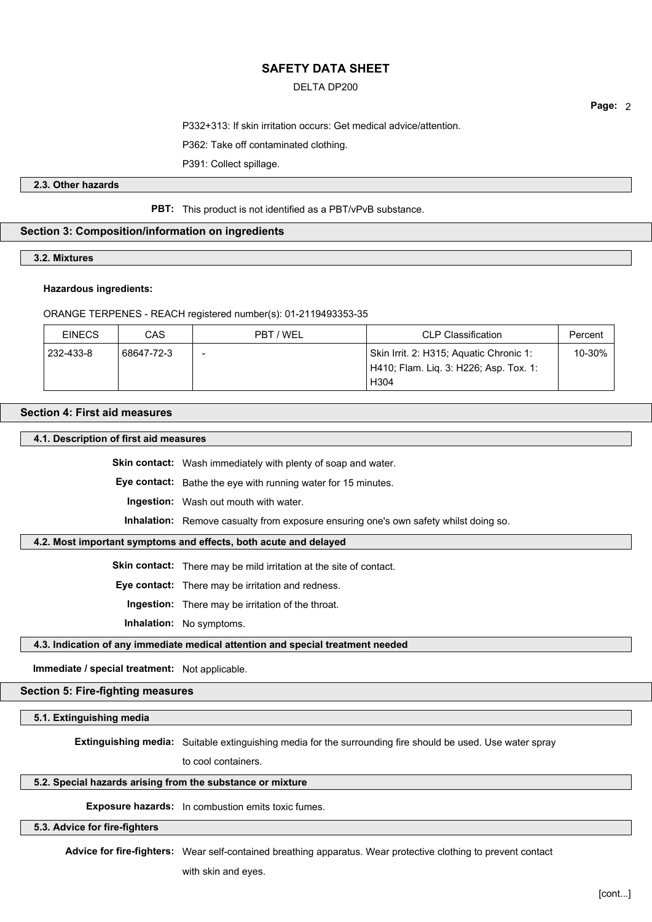# DELTA DP200

**Page:** 2

P332+313: If skin irritation occurs: Get medical advice/attention.

P362: Take off contaminated clothing.

P391: Collect spillage.

# **2.3. Other hazards**

### **PBT:** This product is not identified as a PBT/vPvB substance.

# **Section 3: Composition/information on ingredients**

# **3.2. Mixtures**

#### **Hazardous ingredients:**

#### ORANGE TERPENES - REACH registered number(s): 01-2119493353-35

| <b>EINECS</b> | CAS        | PBT / WEL | CLP Classification                                                                                    | Percent |
|---------------|------------|-----------|-------------------------------------------------------------------------------------------------------|---------|
| 232-433-8     | 68647-72-3 | -         | Skin Irrit. 2: H315; Aquatic Chronic 1:<br>H410; Flam. Lig. 3: H226; Asp. Tox. 1:<br>H <sub>304</sub> | 10-30%  |

# **Section 4: First aid measures**

**4.1. Description of first aid measures**

**Skin contact:** Wash immediately with plenty of soap and water.

**Eye contact:** Bathe the eye with running water for 15 minutes.

**Ingestion:** Wash out mouth with water.

**Inhalation:** Remove casualty from exposure ensuring one's own safety whilst doing so.

# **4.2. Most important symptoms and effects, both acute and delayed**

**Skin contact:** There may be mild irritation at the site of contact.

**Eye contact:** There may be irritation and redness.

**Ingestion:** There may be irritation of the throat.

**Inhalation:** No symptoms.

# **4.3. Indication of any immediate medical attention and special treatment needed**

**Immediate / special treatment:** Not applicable.

# **Section 5: Fire-fighting measures**

**5.1. Extinguishing media**

**Extinguishing media:** Suitable extinguishing media for the surrounding fire should be used. Use water spray

to cool containers.

# **5.2. Special hazards arising from the substance or mixture**

**Exposure hazards:** In combustion emits toxic fumes.

# **5.3. Advice for fire-fighters**

**Advice for fire-fighters:** Wear self-contained breathing apparatus. Wear protective clothing to prevent contact

with skin and eyes.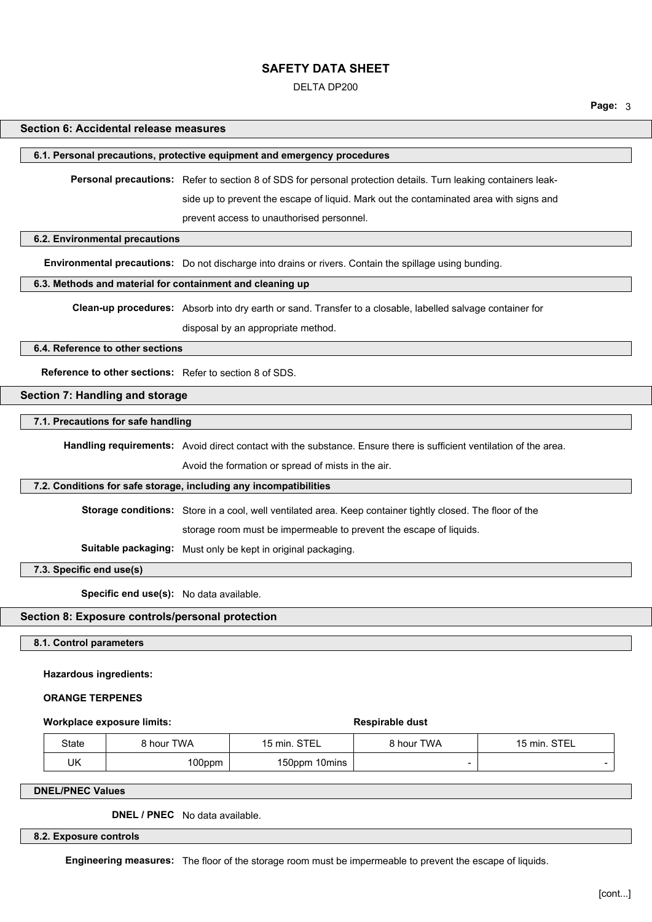DELTA DP200

#### **Page:** 3

#### **Section 6: Accidental release measures**

#### **6.1. Personal precautions, protective equipment and emergency procedures**

**Personal precautions:** Refer to section 8 of SDS for personal protection details. Turn leaking containers leak-

side up to prevent the escape of liquid. Mark out the contaminated area with signs and

prevent access to unauthorised personnel.

#### **6.2. Environmental precautions**

**Environmental precautions:** Do not discharge into drains or rivers. Contain the spillage using bunding.

# **6.3. Methods and material for containment and cleaning up**

**Clean-up procedures:** Absorb into dry earth or sand. Transfer to a closable, labelled salvage container for

disposal by an appropriate method.

#### **6.4. Reference to other sections**

**Reference to other sections:** Refer to section 8 of SDS.

### **Section 7: Handling and storage**

#### **7.1. Precautions for safe handling**

**Handling requirements:** Avoid direct contact with the substance. Ensure there is sufficient ventilation of the area.

Avoid the formation or spread of mists in the air.

### **7.2. Conditions for safe storage, including any incompatibilities**

**Storage conditions:** Store in a cool, well ventilated area. Keep container tightly closed. The floor of the

storage room must be impermeable to prevent the escape of liquids.

**Suitable packaging:** Must only be kept in original packaging.

**7.3. Specific end use(s)**

**Specific end use(s):** No data available.

### **Section 8: Exposure controls/personal protection**

**8.1. Control parameters**

#### **Hazardous ingredients:**

#### **ORANGE TERPENES**

| <b>Workplace exposure limits:</b> | <b>Respirable dust</b> |
|-----------------------------------|------------------------|
|-----------------------------------|------------------------|

| <b>Respirable dust</b> |  |  |
|------------------------|--|--|
|                        |  |  |

| <b>State</b> | 3 hour TWA | 15 min. STEL  | 3 hour TWA | STEL<br>15 min. |
|--------------|------------|---------------|------------|-----------------|
| UK           | 100ppm     | 150ppm 10mins |            |                 |

#### **DNEL/PNEC Values**

**DNEL / PNEC** No data available.

#### **8.2. Exposure controls**

**Engineering measures:** The floor of the storage room must be impermeable to prevent the escape of liquids.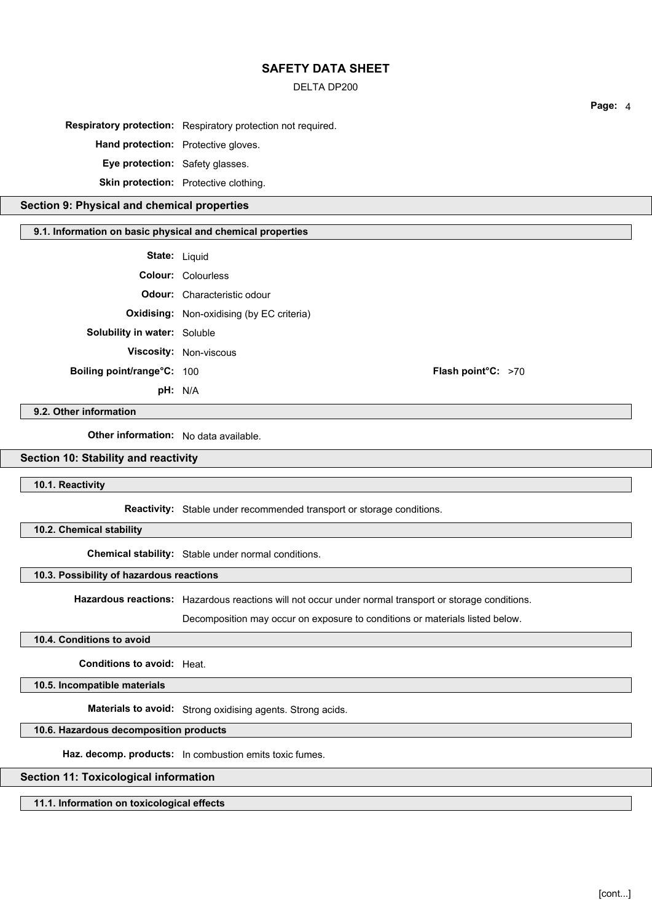### DELTA DP200

**Respiratory protection:** Respiratory protection not required.

**Hand protection:** Protective gloves.

**Eye protection:** Safety glasses.

**Skin protection:** Protective clothing.

### **Section 9: Physical and chemical properties**

# **9.1. Information on basic physical and chemical properties**

| State: | Liquid |
|--------|--------|
|--------|--------|

|                                     | <b>Colour:</b> Colourless                        |                      |  |
|-------------------------------------|--------------------------------------------------|----------------------|--|
|                                     | <b>Odour:</b> Characteristic odour               |                      |  |
|                                     | <b>Oxidising:</b> Non-oxidising (by EC criteria) |                      |  |
| <b>Solubility in water: Soluble</b> |                                                  |                      |  |
|                                     | <b>Viscosity: Non-viscous</b>                    |                      |  |
| Boiling point/range°C: 100          |                                                  | Flash point $C: >70$ |  |
|                                     | pH: N/A                                          |                      |  |

#### **9.2. Other information**

**Other information:** No data available.

# **Section 10: Stability and reactivity**

### **10.1. Reactivity**

**Reactivity:** Stable under recommended transport or storage conditions.

**10.2. Chemical stability**

**Chemical stability:** Stable under normal conditions.

# **10.3. Possibility of hazardous reactions**

**Hazardous reactions:** Hazardous reactions will not occur under normal transport or storage conditions.

Decomposition may occur on exposure to conditions or materials listed below.

### **10.4. Conditions to avoid**

**Conditions to avoid:** Heat.

**10.5. Incompatible materials**

**Materials to avoid:** Strong oxidising agents. Strong acids.

#### **10.6. Hazardous decomposition products**

**Haz. decomp. products:** In combustion emits toxic fumes.

# **Section 11: Toxicological information**

**11.1. Information on toxicological effects**

**Page:** 4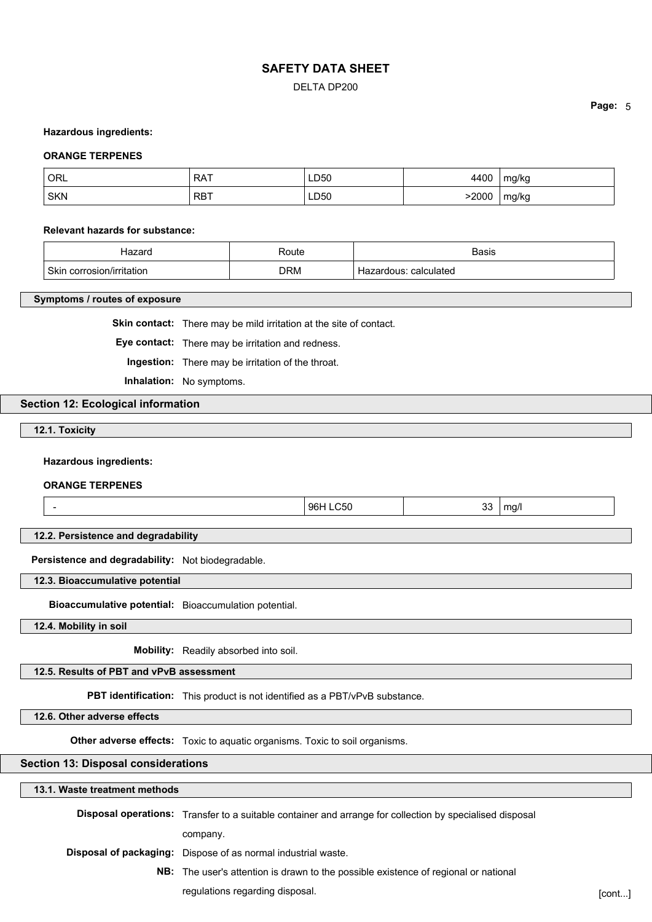### DELTA DP200

#### **Hazardous ingredients:**

#### **ORANGE TERPENES**

| <b>ORL</b> | <b>RAT</b> | <b>LD50</b>        | 4400 | mg/kg |
|------------|------------|--------------------|------|-------|
| <b>SKN</b> | , RBT<br>. | <b>LD50</b><br>___ | 2000 | mg/kg |

#### **Relevant hazards for substance:**

| ----                                     | ∢oute      | Basis                       |
|------------------------------------------|------------|-----------------------------|
| <b>Skin</b><br>חסוhrritatio<br>corrosion | <b>DRM</b> | calculated<br>aune<br>.aı v |

#### **Symptoms / routes of exposure**

**Skin contact:** There may be mild irritation at the site of contact.

**Eye contact:** There may be irritation and redness.

**Ingestion:** There may be irritation of the throat.

**Inhalation:** No symptoms.

# **Section 12: Ecological information**

**12.1. Toxicity**

**Hazardous ingredients:**

**ORANGE TERPENES**

| -- | ۹F<br>÷ы | ~<br>. . | $- - -$<br>na, |
|----|----------|----------|----------------|
|    |          |          |                |

**12.2. Persistence and degradability**

**Persistence and degradability:** Not biodegradable.

**12.3. Bioaccumulative potential**

**Bioaccumulative potential:** Bioaccumulation potential.

**12.4. Mobility in soil**

**Mobility:** Readily absorbed into soil.

**12.5. Results of PBT and vPvB assessment**

**PBT identification:** This product is not identified as a PBT/vPvB substance.

**12.6. Other adverse effects**

**Other adverse effects:** Toxic to aquatic organisms. Toxic to soil organisms.

#### **Section 13: Disposal considerations**

# **13.1. Waste treatment methods Disposal operations:** Transfer to a suitable container and arrange for collection by specialised disposal company.

**Disposal of packaging:** Dispose of as normal industrial waste.

**NB:** The user's attention is drawn to the possible existence of regional or national regulations regarding disposal. The context of the context of the context of the context of the context of the context of the context of the context of the context of the context of the context of the context of the contex

**Page:** 5